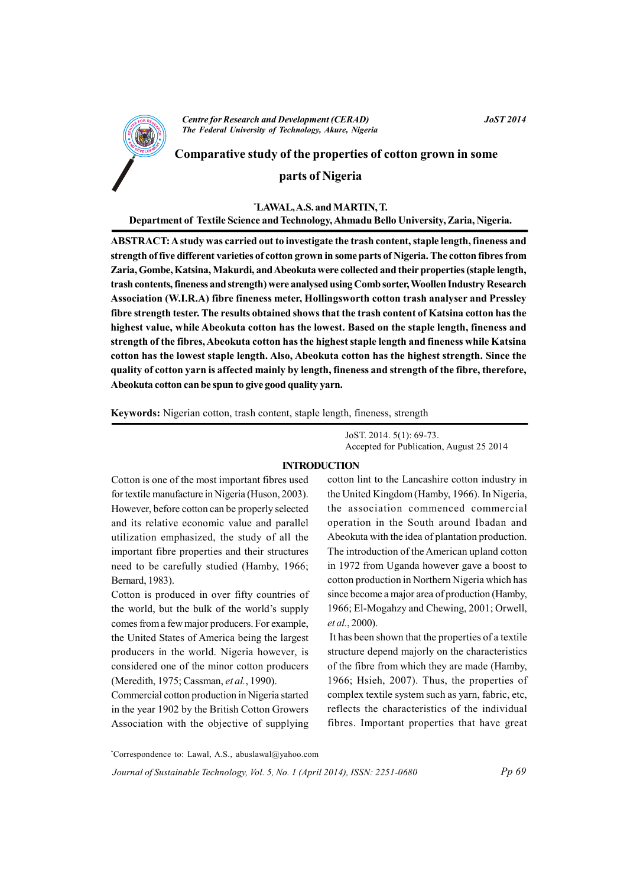

**Centre for Research and Development (CERAD)** The Federal University of Technology, Akure, Nigeria

Comparative study of the properties of cotton grown in some

# parts of Nigeria

#### \*LAWAL, A.S. and MARTIN, T.

Department of Textile Science and Technology, Ahmadu Bello University, Zaria, Nigeria.

ABSTRACT: A study was carried out to investigate the trash content, staple length, fineness and strength of five different varieties of cotton grown in some parts of Nigeria. The cotton fibres from Zaria, Gombe, Katsina, Makurdi, and Abeokuta were collected and their properties (staple length, trash contents, fineness and strength) were analysed using Comb sorter, Woollen Industry Research Association (W.I.R.A) fibre fineness meter. Hollingsworth cotton trash analyser and Pressley fibre strength tester. The results obtained shows that the trash content of Katsina cotton has the highest value, while Abeokuta cotton has the lowest. Based on the staple length, fineness and strength of the fibres, Abeokuta cotton has the highest staple length and fineness while Katsina cotton has the lowest staple length. Also, Abeokuta cotton has the highest strength. Since the quality of cotton yarn is affected mainly by length, fineness and strength of the fibre, therefore, Abeokuta cotton can be spun to give good quality yarn.

Keywords: Nigerian cotton, trash content, staple length, fineness, strength

JoST. 2014. 5(1): 69-73. Accepted for Publication, August 25 2014

#### **INTRODUCTION**

Cotton is one of the most important fibres used for textile manufacture in Nigeria (Huson, 2003). However, before cotton can be properly selected and its relative economic value and parallel utilization emphasized, the study of all the important fibre properties and their structures need to be carefully studied (Hamby, 1966; Bernard, 1983).

Cotton is produced in over fifty countries of the world, but the bulk of the world's supply comes from a few major producers. For example, the United States of America being the largest producers in the world. Nigeria however, is considered one of the minor cotton producers (Meredith, 1975; Cassman, et al., 1990).

Commercial cotton production in Nigeria started in the year 1902 by the British Cotton Growers Association with the objective of supplying

cotton lint to the Lancashire cotton industry in the United Kingdom (Hamby, 1966). In Nigeria, the association commenced commercial operation in the South around Ibadan and Abeokuta with the idea of plantation production. The introduction of the American upland cotton in 1972 from Uganda however gave a boost to cotton production in Northern Nigeria which has since become a major area of production (Hamby, 1966; El-Mogahzy and Chewing, 2001; Orwell, et al., 2000).

It has been shown that the properties of a textile. structure depend majorly on the characteristics of the fibre from which they are made (Hamby, 1966; Hsieh, 2007). Thus, the properties of complex textile system such as yarn, fabric, etc. reflects the characteristics of the individual fibres. Important properties that have great

Journal of Sustainable Technology, Vol. 5, No. 1 (April 2014), ISSN: 2251-0680

<sup>\*</sup>Correspondence to: Lawal, A.S., abuslawal@yahoo.com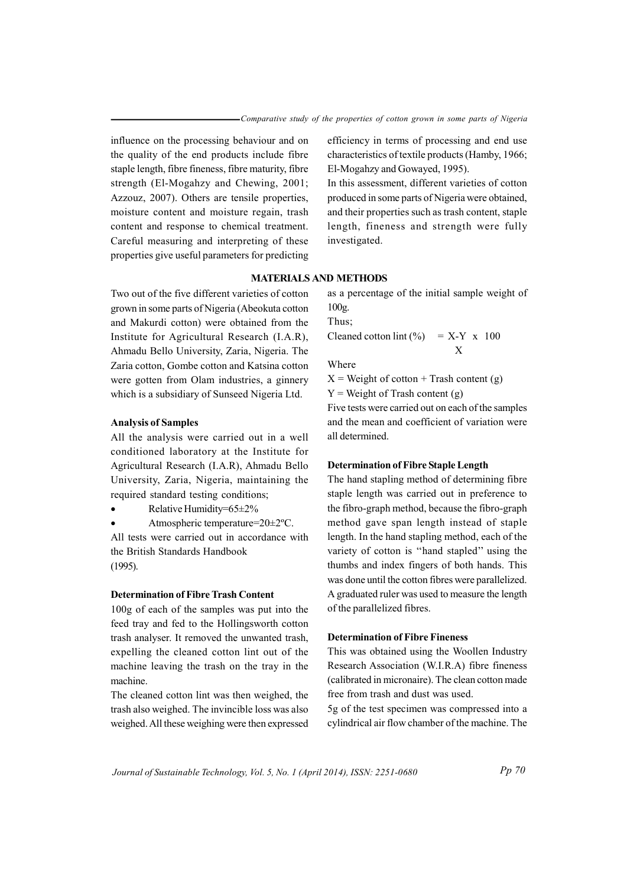influence on the processing behaviour and on the quality of the end products include fibre staple length, fibre fineness, fibre maturity, fibre strength (El-Mogahzy and Chewing, 2001; Azzouz, 2007). Others are tensile properties, moisture content and moisture regain, trash content and response to chemical treatment. Careful measuring and interpreting of these properties give useful parameters for predicting efficiency in terms of processing and end use characteristics of textile products (Hamby, 1966; El-Mogahzy and Gowayed, 1995).

In this assessment, different varieties of cotton produced in some parts of Nigeria were obtained, and their properties such as trash content, staple length, fineness and strength were fully investigated.

### **MATERIALS AND METHODS**

Two out of the five different varieties of cotton grown in some parts of Nigeria (Abeokuta cotton and Makurdi cotton) were obtained from the Institute for Agricultural Research (I.A.R), Ahmadu Bello University, Zaria, Nigeria. The Zaria cotton, Gombe cotton and Katsina cotton were gotten from Olam industries, a ginnery which is a subsidiary of Sunseed Nigeria Ltd.

# **Analysis of Samples**

All the analysis were carried out in a well conditioned laboratory at the Institute for Agricultural Research (I.A.R), Ahmadu Bello University, Zaria, Nigeria, maintaining the required standard testing conditions;

Relative Humidity=65±2%

Atmospheric temperature=20±2°C.

All tests were carried out in accordance with the British Standards Handbook  $(1995).$ 

# **Determination of Fibre Trash Content**

100g of each of the samples was put into the feed tray and fed to the Hollingsworth cotton trash analyser. It removed the unwanted trash, expelling the cleaned cotton lint out of the machine leaving the trash on the tray in the machine

The cleaned cotton lint was then weighed, the trash also weighed. The invincible loss was also weighed. All these weighing were then expressed as a percentage of the initial sample weight of  $100g$ .

Thus;

Cleaned cotton lint  $(\% )$  = X-Y x 100  $\mathbf{X}$ 

Where

 $X = Weight of cotton + Translation content(g)$ 

 $Y = Weight of Trash content(g)$ 

Five tests were carried out on each of the samples and the mean and coefficient of variation were all determined.

### **Determination of Fibre Staple Length**

The hand stapling method of determining fibre staple length was carried out in preference to the fibro-graph method, because the fibro-graph method gave span length instead of staple length. In the hand stapling method, each of the variety of cotton is "hand stapled" using the thumbs and index fingers of both hands. This was done until the cotton fibres were parallelized. A graduated ruler was used to measure the length of the parallelized fibres.

### **Determination of Fibre Fineness**

This was obtained using the Woollen Industry Research Association (W.I.R.A) fibre fineness (calibrated in micronaire). The clean cotton made free from trash and dust was used.

5g of the test specimen was compressed into a cylindrical air flow chamber of the machine. The

Journal of Sustainable Technology, Vol. 5, No. 1 (April 2014), ISSN: 2251-0680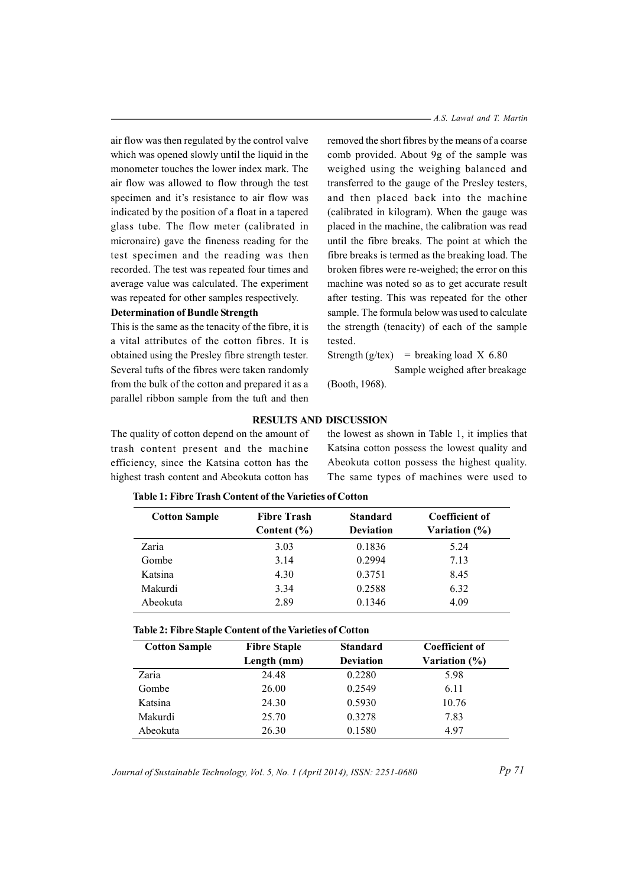air flow was then regulated by the control valve which was opened slowly until the liquid in the monometer touches the lower index mark. The air flow was allowed to flow through the test specimen and it's resistance to air flow was indicated by the position of a float in a tapered glass tube. The flow meter (calibrated in micronaire) gave the fineness reading for the test specimen and the reading was then recorded. The test was repeated four times and average value was calculated. The experiment was repeated for other samples respectively.

#### **Determination of Bundle Strength**

This is the same as the tenacity of the fibre, it is a vital attributes of the cotton fibres. It is obtained using the Presley fibre strength tester. Several tufts of the fibres were taken randomly from the bulk of the cotton and prepared it as a parallel ribbon sample from the tuft and then  $- A.S.$  *Lawal and T. Martin* 

removed the short fibres by the means of a coarse comb provided. About 9g of the sample was weighed using the weighing balanced and transferred to the gauge of the Presley testers, and then placed back into the machine (calibrated in kilogram). When the gauge was placed in the machine, the calibration was read until the fibre breaks. The point at which the fibre breaks is termed as the breaking load. The broken fibres were re-weighed; the error on this machine was noted so as to get accurate result after testing. This was repeated for the other sample. The formula below was used to calculate the strength (tenacity) of each of the sample tested.

Strength  $(g/\text{tex})$  = breaking load X 6.80

Sample weighed after breakage

(Booth, 1968).

### **RESULTS AND DISCUSSION**

The quality of cotton depend on the amount of trash content present and the machine efficiency, since the Katsina cotton has the highest trash content and Abeokuta cotton has

the lowest as shown in Table 1, it implies that Katsina cotton possess the lowest quality and Abeokuta cotton possess the highest quality. The same types of machines were used to

| <b>Cotton Sample</b> | <b>Standard</b><br><b>Fibre Trash</b> |                  | <b>Coefficient of</b> |  |
|----------------------|---------------------------------------|------------------|-----------------------|--|
|                      | Content $(\% )$                       | <b>Deviation</b> | Variation (%)         |  |
| Zaria                | 3.03                                  | 0.1836           | 5.24                  |  |
| Gombe                | 3.14                                  | 0.2994           | 7.13                  |  |
| Katsina              | 4.30                                  | 0.3751           | 8.45                  |  |
| Makurdi              | 3.34                                  | 0.2588           | 6.32                  |  |
| Abeokuta             | 2.89                                  | 0.1346           | 4.09                  |  |

### Table 1: Fibre Trash Content of the Varieties of Cotton

## **Table 2: Fibre Staple Content of the Varieties of Cotton**

| <b>Cotton Sample</b> | <b>Fibre Staple</b> | <b>Standard</b>  | Coefficient of |
|----------------------|---------------------|------------------|----------------|
|                      | Length (mm)         | <b>Deviation</b> | Variation (%)  |
| Zaria                | 24.48               | 0.2280           | 5.98           |
| Gombe                | 26.00               | 0.2549           | 6.11           |
| Katsina              | 24.30               | 0.5930           | 10.76          |
| Makurdi              | 25.70               | 0.3278           | 7.83           |
| Abeokuta             | 26.30               | 0.1580           | 497            |

Journal of Sustainable Technology, Vol. 5, No. 1 (April 2014), ISSN: 2251-0680

*Pp* 71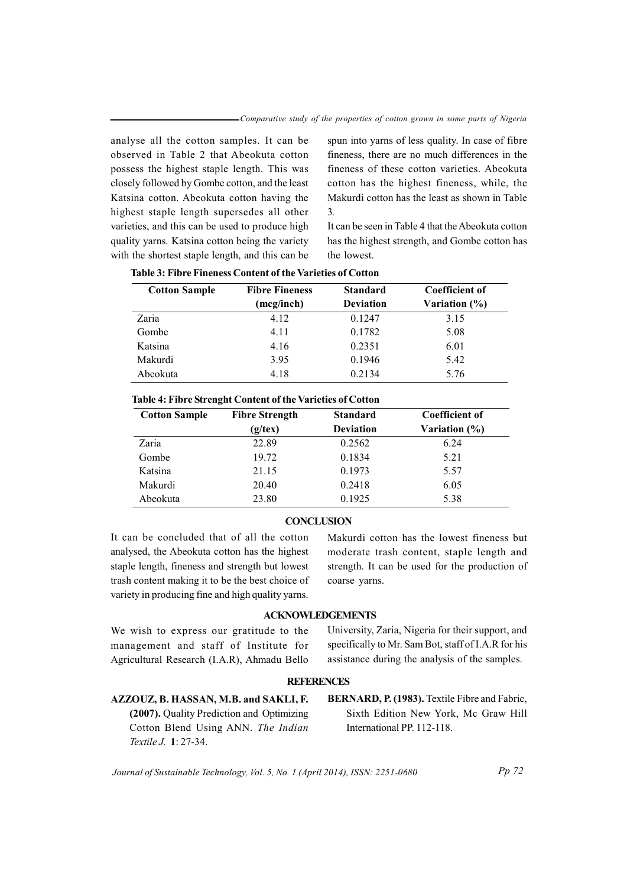analyse all the cotton samples. It can be observed in Table 2 that Abeokuta cotton possess the highest staple length. This was closely followed by Gombe cotton, and the least Katsina cotton. Abeokuta cotton having the highest staple length supersedes all other varieties, and this can be used to produce high quality yarns. Katsina cotton being the variety with the shortest staple length, and this can be spun into yarns of less quality. In case of fibre fineness, there are no much differences in the fineness of these cotton varieties. Abeokuta cotton has the highest fineness, while, the Makurdi cotton has the least as shown in Table  $\mathcal{L}$ 

It can be seen in Table 4 that the Abeokuta cotton has the highest strength, and Gombe cotton has the lowest

| <b>Cotton Sample</b> | <b>Fibre Fineness</b> | <b>Standard</b>  | Coefficient of |
|----------------------|-----------------------|------------------|----------------|
|                      | (mcg/inch)            | <b>Deviation</b> | Variation (%)  |
| Zaria                | 4.12                  | 0.1247           | 3.15           |
| Gombe                | 4.11                  | 0.1782           | 5.08           |
| Katsina              | 4.16                  | 0.2351           | 6.01           |
| Makurdi              | 3.95                  | 0.1946           | 5.42           |
| Abeokuta             | 4.18                  | 0.2134           | 5.76           |

| Table 3: Fibre Fineness Content of the Varieties of Cotton |  |  |
|------------------------------------------------------------|--|--|
|------------------------------------------------------------|--|--|

|  |  | Table 4: Fibre Strenght Content of the Varieties of Cotton |  |  |  |  |
|--|--|------------------------------------------------------------|--|--|--|--|
|--|--|------------------------------------------------------------|--|--|--|--|

| <b>Cotton Sample</b> | <b>Fibre Strength</b> | <b>Standard</b>  | <b>Coefficient of</b> |
|----------------------|-----------------------|------------------|-----------------------|
|                      | $(g$ /tex $)$         | <b>Deviation</b> | Variation (%)         |
| Zaria                | 22.89                 | 0.2562           | 6.24                  |
| Gombe                | 19.72                 | 0.1834           | 5.21                  |
| Katsina              | 21.15                 | 0.1973           | 5.57                  |
| Makurdi              | 20.40                 | 0.2418           | 6.05                  |
| Abeokuta             | 23.80                 | 0.1925           | 5.38                  |

## **CONCLUSION**

It can be concluded that of all the cotton analysed, the Abeokuta cotton has the highest staple length, fineness and strength but lowest trash content making it to be the best choice of variety in producing fine and high quality yarns.

Makurdi cotton has the lowest fineness but moderate trash content, staple length and strength. It can be used for the production of coarse yarns.

# **ACKNOWLEDGEMENTS**

We wish to express our gratitude to the management and staff of Institute for Agricultural Research (I.A.R), Ahmadu Bello University, Zaria, Nigeria for their support, and specifically to Mr. Sam Bot, staff of I.A.R for his assistance during the analysis of the samples.

#### **REFERENCES**

# AZZOUZ, B. HASSAN, M.B. and SAKLI, F.

(2007). Quality Prediction and Optimizing Cotton Blend Using ANN. The Indian Textile J. 1: 27-34.

BERNARD, P. (1983). Textile Fibre and Fabric, Sixth Edition New York, Mc Graw Hill International PP. 112-118.

Journal of Sustainable Technology, Vol. 5, No. 1 (April 2014), ISSN: 2251-0680

 $Pp 72$